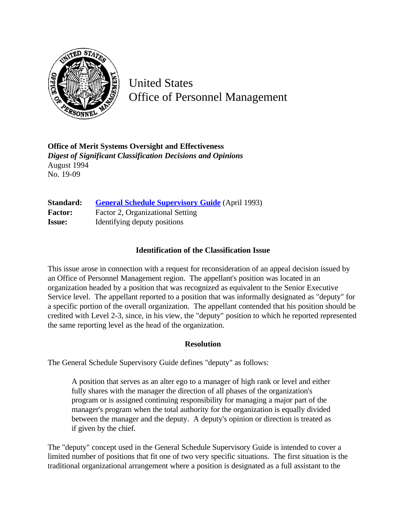

United States Office of Personnel Management

**Office of Merit Systems Oversight and Effectiveness** *Digest of Significant Classification Decisions and Opinions* August 1994 No. 19-09

**Standard:** [General Schedule Supervisory Guide](http://www.opm.gov/hr/fedclass/gssg.pdf) (April 1993) **Factor:** Factor 2, Organizational Setting **Issue:** Identifying deputy positions

## **Identification of the Classification Issue**

This issue arose in connection with a request for reconsideration of an appeal decision issued by an Office of Personnel Management region. The appellant's position was located in an organization headed by a position that was recognized as equivalent to the Senior Executive Service level. The appellant reported to a position that was informally designated as "deputy" for a specific portion of the overall organization. The appellant contended that his position should be credited with Level 2-3, since, in his view, the "deputy" position to which he reported represented the same reporting level as the head of the organization.

## **Resolution**

The General Schedule Supervisory Guide defines "deputy" as follows:

A position that serves as an alter ego to a manager of high rank or level and either fully shares with the manager the direction of all phases of the organization's program or is assigned continuing responsibility for managing a major part of the manager's program when the total authority for the organization is equally divided between the manager and the deputy. A deputy's opinion or direction is treated as if given by the chief.

The "deputy" concept used in the General Schedule Supervisory Guide is intended to cover a limited number of positions that fit one of two very specific situations. The first situation is the traditional organizational arrangement where a position is designated as a full assistant to the